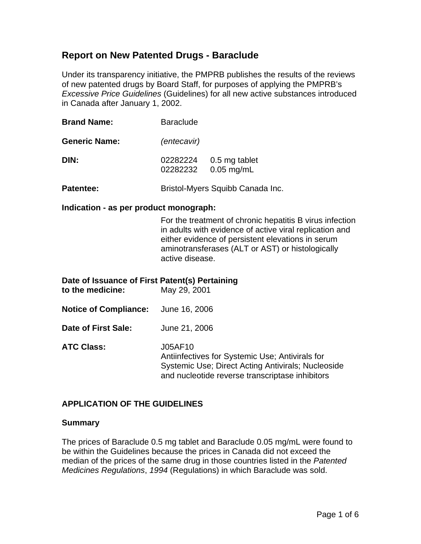# **Report on New Patented Drugs - Baraclude**

Under its transparency initiative, the PMPRB publishes the results of the reviews of new patented drugs by Board Staff, for purposes of applying the PMPRB's *Excessive Price Guidelines* (Guidelines) for all new active substances introduced in Canada after January 1, 2002.

| <b>Brand Name:</b>   | <b>Baraclude</b>                 |                               |
|----------------------|----------------------------------|-------------------------------|
| <b>Generic Name:</b> | (entecavir)                      |                               |
| DIN:                 | 02282224<br>02282232             | 0.5 mg tablet<br>$0.05$ mg/mL |
| Patentee:            | Bristol-Myers Squibb Canada Inc. |                               |

### **Indication - as per product monograph:**

For the treatment of chronic hepatitis B virus infection in adults with evidence of active viral replication and either evidence of persistent elevations in serum aminotransferases (ALT or AST) or histologically active disease.

| Date of Issuance of First Patent(s) Pertaining<br>to the medicine: | May 29, 2001                                                                                                                                                        |
|--------------------------------------------------------------------|---------------------------------------------------------------------------------------------------------------------------------------------------------------------|
| <b>Notice of Compliance:</b>                                       | June 16, 2006                                                                                                                                                       |
| Date of First Sale:                                                | June 21, 2006                                                                                                                                                       |
| <b>ATC Class:</b>                                                  | J05AF10<br>Antiinfectives for Systemic Use; Antivirals for<br>Systemic Use; Direct Acting Antivirals; Nucleoside<br>and nucleotide reverse transcriptase inhibitors |

## **APPLICATION OF THE GUIDELINES**

#### **Summary**

The prices of Baraclude 0.5 mg tablet and Baraclude 0.05 mg/mL were found to be within the Guidelines because the prices in Canada did not exceed the median of the prices of the same drug in those countries listed in the *Patented Medicines Regulations*, *1994* (Regulations) in which Baraclude was sold.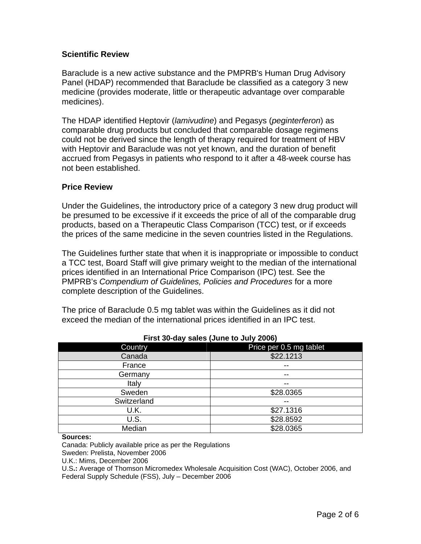## **Scientific Review**

Baraclude is a new active substance and the PMPRB's Human Drug Advisory Panel (HDAP) recommended that Baraclude be classified as a category 3 new medicine (provides moderate, little or therapeutic advantage over comparable medicines).

The HDAP identified Heptovir (*lamivudine*) and Pegasys (*peginterferon*) as comparable drug products but concluded that comparable dosage regimens could not be derived since the length of therapy required for treatment of HBV with Heptovir and Baraclude was not yet known, and the duration of benefit accrued from Pegasys in patients who respond to it after a 48-week course has not been established.

### **Price Review**

Under the Guidelines, the introductory price of a category 3 new drug product will be presumed to be excessive if it exceeds the price of all of the comparable drug products, based on a Therapeutic Class Comparison (TCC) test, or if exceeds the prices of the same medicine in the seven countries listed in the Regulations.

The Guidelines further state that when it is inappropriate or impossible to conduct a TCC test, Board Staff will give primary weight to the median of the international prices identified in an International Price Comparison (IPC) test. See the PMPRB's *Compendium of Guidelines, Policies and Procedures* for a more complete description of the Guidelines.

The price of Baraclude 0.5 mg tablet was within the Guidelines as it did not exceed the median of the international prices identified in an IPC test.

|             | $\overline{\phantom{a}}$ |
|-------------|--------------------------|
| Country     | Price per 0.5 mg tablet  |
| Canada      | \$22.1213                |
| France      | --                       |
| Germany     | --                       |
| Italy       | $- -$                    |
| Sweden      | \$28.0365                |
| Switzerland |                          |
| U.K.        | \$27.1316                |
| U.S.        | \$28.8592                |
| Median      | \$28.0365                |

**First 30-day sales (June to July 2006)**

**Sources:** 

Canada: Publicly available price as per the Regulations

Sweden: Prelista, November 2006

U.K.: Mims, December 2006

U.S**.:** Average of Thomson Micromedex Wholesale Acquisition Cost (WAC), October 2006, and Federal Supply Schedule (FSS), July – December 2006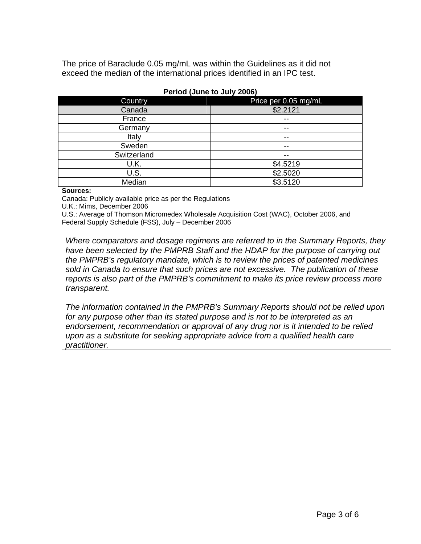The price of Baraclude 0.05 mg/mL was within the Guidelines as it did not exceed the median of the international prices identified in an IPC test.

| <b>Country</b> | Price per 0.05 mg/mL |
|----------------|----------------------|
| Canada         | \$2.2121             |
| France         | $- -$                |
| Germany        | $- -$                |
| Italy          | --                   |
| Sweden         | $- -$                |
| Switzerland    | $- -$                |
| U.K.           | \$4.5219             |
| U.S.           | \$2.5020             |
| Median         | \$3.5120             |

#### **Period (June to July 2006)**

#### **Sources:**

Canada: Publicly available price as per the Regulations

U.K.: Mims, December 2006

U.S.: Average of Thomson Micromedex Wholesale Acquisition Cost (WAC), October 2006, and Federal Supply Schedule (FSS), July – December 2006

*Where comparators and dosage regimens are referred to in the Summary Reports, they have been selected by the PMPRB Staff and the HDAP for the purpose of carrying out the PMPRB's regulatory mandate, which is to review the prices of patented medicines sold in Canada to ensure that such prices are not excessive. The publication of these reports is also part of the PMPRB's commitment to make its price review process more transparent.* 

*The information contained in the PMPRB's Summary Reports should not be relied upon for any purpose other than its stated purpose and is not to be interpreted as an*  endorsement, recommendation or approval of any drug nor is it intended to be relied *upon as a substitute for seeking appropriate advice from a qualified health care practitioner.*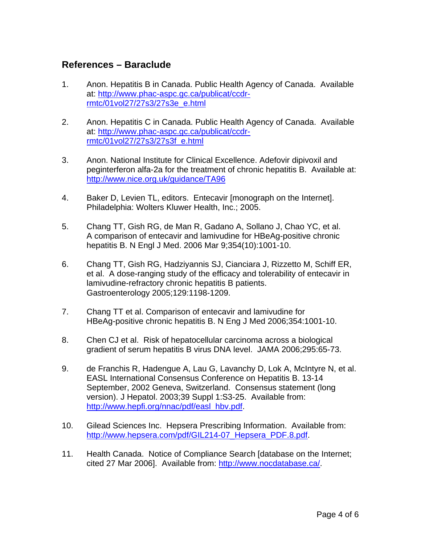# **References – Baraclude**

- 1. Anon. Hepatitis B in Canada. Public Health Agency of Canada. Available at: [http://www.phac-aspc.gc.ca/publicat/ccdr](http://www.phac-aspc.gc.ca/publicat/ccdr-rmtc/01vol27/27s3/27s3e_e.html)[rmtc/01vol27/27s3/27s3e\\_e.html](http://www.phac-aspc.gc.ca/publicat/ccdr-rmtc/01vol27/27s3/27s3e_e.html)
- 2. Anon. Hepatitis C in Canada. Public Health Agency of Canada. Available at: [http://www.phac-aspc.gc.ca/publicat/ccdr](http://www.phac-aspc.gc.ca/publicat/ccdr-%20rmtc/01vol27/27s3/27s3f_e.html)[rmtc/01vol27/27s3/27s3f\\_e.html](http://www.phac-aspc.gc.ca/publicat/ccdr-%20rmtc/01vol27/27s3/27s3f_e.html)
- 3. Anon. National Institute for Clinical Excellence. Adefovir dipivoxil and peginterferon alfa-2a for the treatment of chronic hepatitis B. Available at: <http://www.nice.org.uk/guidance/TA96>
- 4. Baker D, Levien TL, editors. Entecavir [monograph on the Internet]. Philadelphia: Wolters Kluwer Health, Inc.; 2005.
- 5. Chang TT, Gish RG, de Man R, Gadano A, Sollano J, Chao YC, et al. A comparison of entecavir and lamivudine for HBeAg-positive chronic hepatitis B. N Engl J Med. 2006 Mar 9;354(10):1001-10.
- 6. Chang TT, Gish RG, Hadziyannis SJ, Cianciara J, Rizzetto M, Schiff ER, et al. A dose-ranging study of the efficacy and tolerability of entecavir in lamivudine-refractory chronic hepatitis B patients. Gastroenterology 2005;129:1198-1209.
- 7. Chang TT et al. Comparison of entecavir and lamivudine for HBeAg-positive chronic hepatitis B. N Eng J Med 2006;354:1001-10.
- 8. Chen CJ et al. Risk of hepatocellular carcinoma across a biological gradient of serum hepatitis B virus DNA level. JAMA 2006;295:65-73.
- 9. de Franchis R, Hadengue A, Lau G, Lavanchy D, Lok A, McIntyre N, et al. EASL International Consensus Conference on Hepatitis B. 13-14 September, 2002 Geneva, Switzerland. Consensus statement (long version). J Hepatol. 2003;39 Suppl 1:S3-25. Available from: [http://www.hepfi.org/nnac/pdf/easl\\_hbv.pdf.](http://www.hepfi.org/nnac/pdf/easl_hbv.pdf)
- 10. Gilead Sciences Inc. Hepsera Prescribing Information. Available from: http://www.hepsera.com/pdf/GIL214-07 Hepsera PDF.8.pdf.
- 11. Health Canada. Notice of Compliance Search [database on the Internet; cited 27 Mar 2006]. Available from:<http://www.nocdatabase.ca/>.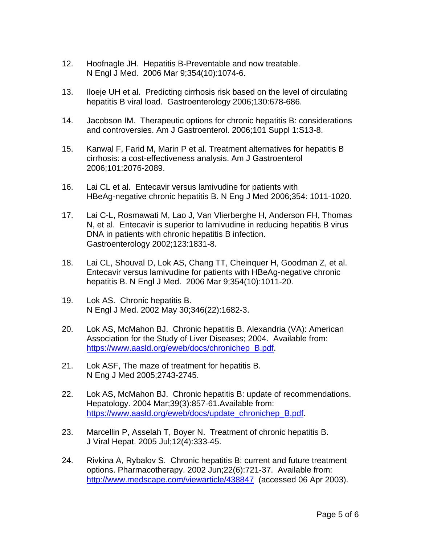- 12. Hoofnagle JH. Hepatitis B-Preventable and now treatable. N Engl J Med. 2006 Mar 9;354(10):1074-6.
- 13. Iloeje UH et al. Predicting cirrhosis risk based on the level of circulating hepatitis B viral load. Gastroenterology 2006;130:678-686.
- 14. Jacobson IM. Therapeutic options for chronic hepatitis B: considerations and controversies. Am J Gastroenterol. 2006;101 Suppl 1:S13-8.
- 15. Kanwal F, Farid M, Marin P et al. Treatment alternatives for hepatitis B cirrhosis: a cost-effectiveness analysis. Am J Gastroenterol 2006;101:2076-2089.
- 16. Lai CL et al. Entecavir versus lamivudine for patients with HBeAg-negative chronic hepatitis B. N Eng J Med 2006;354: 1011-1020.
- 17. Lai C-L, Rosmawati M, Lao J, Van Vlierberghe H, Anderson FH, Thomas N, et al. Entecavir is superior to lamivudine in reducing hepatitis B virus DNA in patients with chronic hepatitis B infection. Gastroenterology 2002;123:1831-8.
- 18. Lai CL, Shouval D, Lok AS, Chang TT, Cheinquer H, Goodman Z, et al. Entecavir versus lamivudine for patients with HBeAg-negative chronic hepatitis B. N Engl J Med. 2006 Mar 9;354(10):1011-20.
- 19. Lok AS. Chronic hepatitis B. N Engl J Med. 2002 May 30;346(22):1682-3.
- 20. Lok AS, McMahon BJ. Chronic hepatitis B. Alexandria (VA): American Association for the Study of Liver Diseases; 2004. Available from: [https://www.aasld.org/eweb/docs/chronichep\\_B.pdf](https://www.aasld.org/eweb/docs/chronichep_B.pdf).
- 21. Lok ASF, The maze of treatment for hepatitis B. N Eng J Med 2005;2743-2745.
- 22. Lok AS, McMahon BJ. Chronic hepatitis B: update of recommendations. Hepatology. 2004 Mar;39(3):857-61.Available from: [https://www.aasld.org/eweb/docs/update\\_chronichep\\_B.pdf.](https://www.aasld.org/eweb/docs/update_chronichep_B.pdf)
- 23. Marcellin P, Asselah T, Boyer N. Treatment of chronic hepatitis B. J Viral Hepat. 2005 Jul;12(4):333-45.
- 24. Rivkina A, Rybalov S. Chronic hepatitis B: current and future treatment options. Pharmacotherapy. 2002 Jun;22(6):721-37. Available from: <http://www.medscape.com/viewarticle/438847> (accessed 06 Apr 2003).